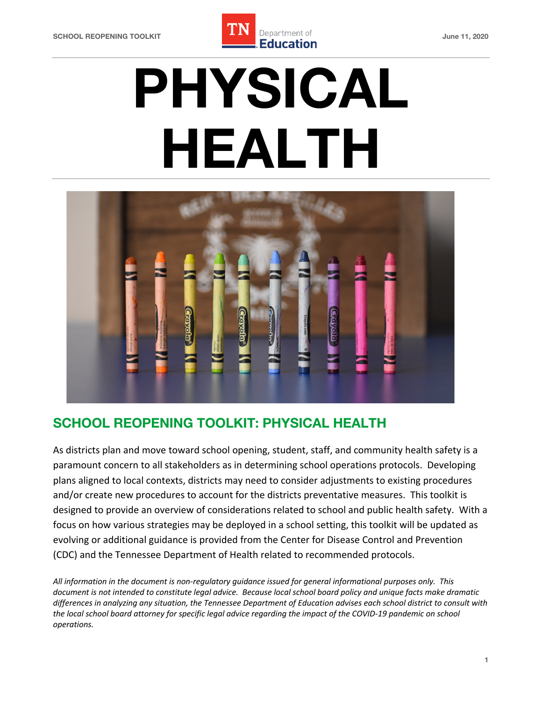

# **PHYSICAL HEALTH**



# **SCHOOL REOPENING TOOLKIT: PHYSICAL HEALTH**

 As districts plan and move toward school opening, student, staff, and community health safety is a paramount concern to all stakeholders as in determining school operations protocols. Developing plans aligned to local contexts, districts may need to consider adjustments to existing procedures and/or create new procedures to account for the districts preventative measures. This toolkit is designed to provide an overview of considerations related to school and public health safety. With a focus on how various strategies may be deployed in a school setting, this toolkit will be updated as evolving or additional guidance is provided from the Center for Disease Control and Prevention (CDC) and the Tennessee Department of Health related to recommended protocols.

 *All information in the document is non-regulatory guidance issued for general informational purposes only. This document is not intended to constitute legal advice. Because local school board policy and unique facts make dramatic differences in analyzing any situation, the Tennessee Department of Education advises each school district to consult with*  the local school board attorney for specific legal advice regarding the impact of the COVID-19 pandemic on school *operations.*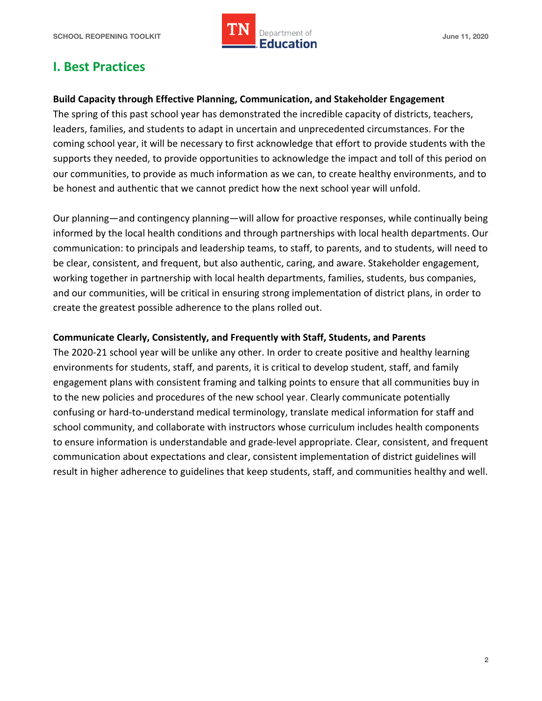

# **I. Best Practices**

#### **Build Capacity through Effective Planning, Communication, and Stakeholder Engagement**

 The spring of this past school year has demonstrated the incredible capacity of districts, teachers, leaders, families, and students to adapt in uncertain and unprecedented circumstances. For the coming school year, it will be necessary to first acknowledge that effort to provide students with the supports they needed, to provide opportunities to acknowledge the impact and toll of this period on our communities, to provide as much information as we can, to create healthy environments, and to be honest and authentic that we cannot predict how the next school year will unfold.

 Our planning—and contingency planning—will allow for proactive responses, while continually being informed by the local health conditions and through partnerships with local health departments. Our communication: to principals and leadership teams, to staff, to parents, and to students, will need to be clear, consistent, and frequent, but also authentic, caring, and aware. Stakeholder engagement, working together in partnership with local health departments, families, students, bus companies, and our communities, will be critical in ensuring strong implementation of district plans, in order to create the greatest possible adherence to the plans rolled out.

#### **Communicate Clearly, Consistently, and Frequently with Staff, Students, and Parents**

 The 2020-21 school year will be unlike any other. In order to create positive and healthy learning environments for students, staff, and parents, it is critical to develop student, staff, and family engagement plans with consistent framing and talking points to ensure that all communities buy in to the new policies and procedures of the new school year. Clearly communicate potentially confusing or hard-to-understand medical terminology, translate medical information for staff and school community, and collaborate with instructors whose curriculum includes health components to ensure information is understandable and grade-level appropriate. Clear, consistent, and frequent communication about expectations and clear, consistent implementation of district guidelines will result in higher adherence to guidelines that keep students, staff, and communities healthy and well.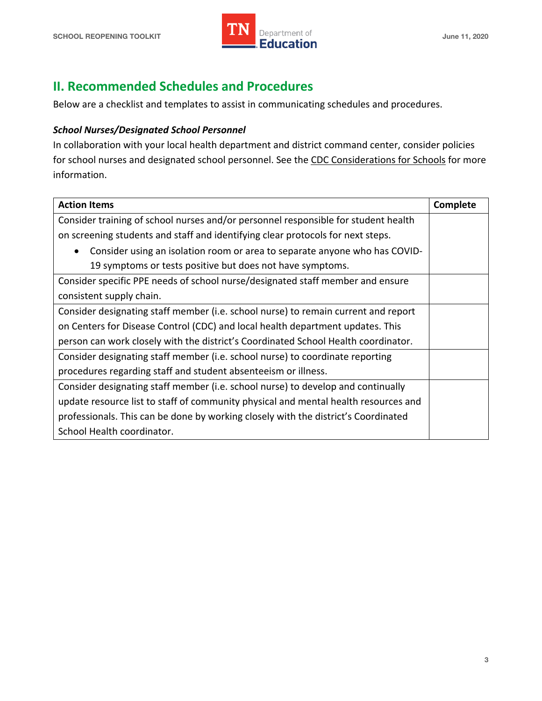

# **II. Recommended Schedules and Procedures**

Below are a checklist and templates to assist in communicating schedules and procedures.

#### *School Nurses/Designated School Personnel*

 In collaboration with your local health department and district command center, consider policies for school nurses and designated school personnel. See the CDC Considerations for Schools for more information.

| <b>Action Items</b>                                                                 | Complete |
|-------------------------------------------------------------------------------------|----------|
| Consider training of school nurses and/or personnel responsible for student health  |          |
| on screening students and staff and identifying clear protocols for next steps.     |          |
| Consider using an isolation room or area to separate anyone who has COVID-          |          |
| 19 symptoms or tests positive but does not have symptoms.                           |          |
| Consider specific PPE needs of school nurse/designated staff member and ensure      |          |
| consistent supply chain.                                                            |          |
| Consider designating staff member (i.e. school nurse) to remain current and report  |          |
| on Centers for Disease Control (CDC) and local health department updates. This      |          |
| person can work closely with the district's Coordinated School Health coordinator.  |          |
| Consider designating staff member (i.e. school nurse) to coordinate reporting       |          |
| procedures regarding staff and student absenteeism or illness.                      |          |
| Consider designating staff member (i.e. school nurse) to develop and continually    |          |
| update resource list to staff of community physical and mental health resources and |          |
| professionals. This can be done by working closely with the district's Coordinated  |          |
| School Health coordinator.                                                          |          |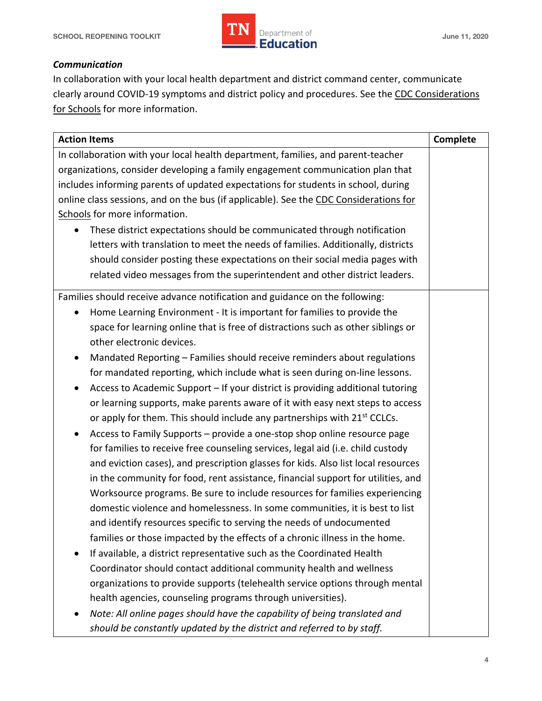

#### *Communication*

 In collaboration with your local health department and district command center, communicate clearly around COVID-19 symptoms and district policy and procedures. See the CDC Considerations for Schools for more information.

| <b>Action Items</b>                                                                         | Complete |
|---------------------------------------------------------------------------------------------|----------|
| In collaboration with your local health department, families, and parent-teacher            |          |
| organizations, consider developing a family engagement communication plan that              |          |
| includes informing parents of updated expectations for students in school, during           |          |
| online class sessions, and on the bus (if applicable). See the CDC Considerations for       |          |
| Schools for more information.                                                               |          |
| These district expectations should be communicated through notification                     |          |
| letters with translation to meet the needs of families. Additionally, districts             |          |
| should consider posting these expectations on their social media pages with                 |          |
| related video messages from the superintendent and other district leaders.                  |          |
| Families should receive advance notification and guidance on the following:                 |          |
| Home Learning Environment - It is important for families to provide the                     |          |
| space for learning online that is free of distractions such as other siblings or            |          |
| other electronic devices.                                                                   |          |
| Mandated Reporting - Families should receive reminders about regulations<br>$\bullet$       |          |
| for mandated reporting, which include what is seen during on-line lessons.                  |          |
| Access to Academic Support - If your district is providing additional tutoring<br>$\bullet$ |          |
| or learning supports, make parents aware of it with easy next steps to access               |          |
| or apply for them. This should include any partnerships with 21 <sup>st</sup> CCLCs.        |          |
| Access to Family Supports - provide a one-stop shop online resource page                    |          |
| for families to receive free counseling services, legal aid (i.e. child custody             |          |
| and eviction cases), and prescription glasses for kids. Also list local resources           |          |
| in the community for food, rent assistance, financial support for utilities, and            |          |
| Worksource programs. Be sure to include resources for families experiencing                 |          |
| domestic violence and homelessness. In some communities, it is best to list                 |          |
| and identify resources specific to serving the needs of undocumented                        |          |
| families or those impacted by the effects of a chronic illness in the home.                 |          |
| If available, a district representative such as the Coordinated Health                      |          |
| Coordinator should contact additional community health and wellness                         |          |
| organizations to provide supports (telehealth service options through mental                |          |
| health agencies, counseling programs through universities).                                 |          |
| Note: All online pages should have the capability of being translated and                   |          |
| should be constantly updated by the district and referred to by staff.                      |          |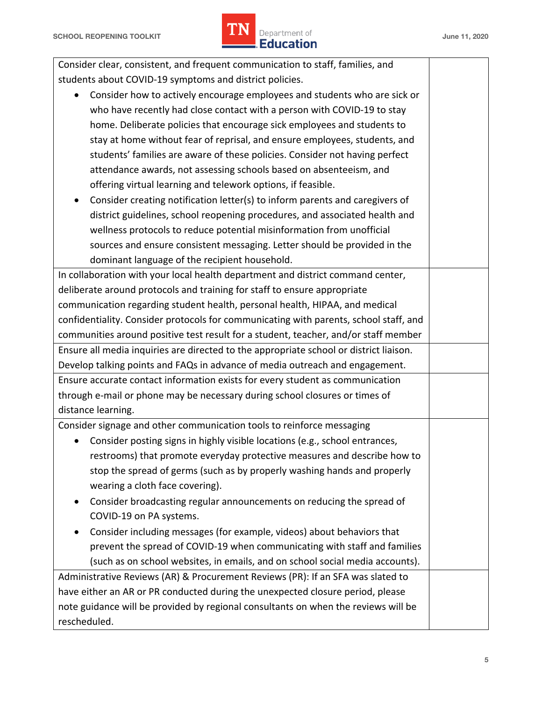

| Consider clear, consistent, and frequent communication to staff, families, and            |  |  |  |
|-------------------------------------------------------------------------------------------|--|--|--|
| students about COVID-19 symptoms and district policies.                                   |  |  |  |
| Consider how to actively encourage employees and students who are sick or                 |  |  |  |
| who have recently had close contact with a person with COVID-19 to stay                   |  |  |  |
| home. Deliberate policies that encourage sick employees and students to                   |  |  |  |
| stay at home without fear of reprisal, and ensure employees, students, and                |  |  |  |
| students' families are aware of these policies. Consider not having perfect               |  |  |  |
| attendance awards, not assessing schools based on absenteeism, and                        |  |  |  |
| offering virtual learning and telework options, if feasible.                              |  |  |  |
| Consider creating notification letter(s) to inform parents and caregivers of<br>$\bullet$ |  |  |  |
| district guidelines, school reopening procedures, and associated health and               |  |  |  |
| wellness protocols to reduce potential misinformation from unofficial                     |  |  |  |
| sources and ensure consistent messaging. Letter should be provided in the                 |  |  |  |
| dominant language of the recipient household.                                             |  |  |  |
| In collaboration with your local health department and district command center,           |  |  |  |
| deliberate around protocols and training for staff to ensure appropriate                  |  |  |  |
| communication regarding student health, personal health, HIPAA, and medical               |  |  |  |
| confidentiality. Consider protocols for communicating with parents, school staff, and     |  |  |  |
| communities around positive test result for a student, teacher, and/or staff member       |  |  |  |
| Ensure all media inquiries are directed to the appropriate school or district liaison.    |  |  |  |
| Develop talking points and FAQs in advance of media outreach and engagement.              |  |  |  |
| Ensure accurate contact information exists for every student as communication             |  |  |  |
| through e-mail or phone may be necessary during school closures or times of               |  |  |  |
| distance learning.                                                                        |  |  |  |
| Consider signage and other communication tools to reinforce messaging                     |  |  |  |
| Consider posting signs in highly visible locations (e.g., school entrances,               |  |  |  |
| restrooms) that promote everyday protective measures and describe how to                  |  |  |  |
| stop the spread of germs (such as by properly washing hands and properly                  |  |  |  |
| wearing a cloth face covering).                                                           |  |  |  |
| Consider broadcasting regular announcements on reducing the spread of                     |  |  |  |
| COVID-19 on PA systems.                                                                   |  |  |  |
| Consider including messages (for example, videos) about behaviors that                    |  |  |  |
| prevent the spread of COVID-19 when communicating with staff and families                 |  |  |  |
| (such as on school websites, in emails, and on school social media accounts).             |  |  |  |
| Administrative Reviews (AR) & Procurement Reviews (PR): If an SFA was slated to           |  |  |  |
| have either an AR or PR conducted during the unexpected closure period, please            |  |  |  |
| note guidance will be provided by regional consultants on when the reviews will be        |  |  |  |
| rescheduled.                                                                              |  |  |  |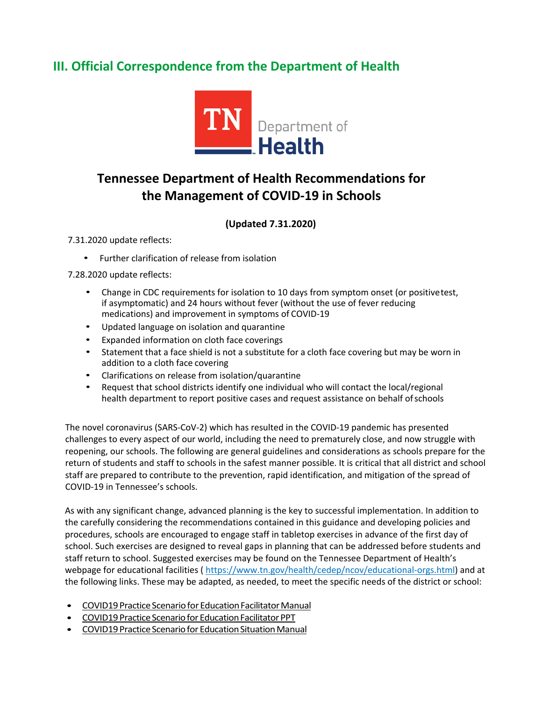# **III. Official Correspondence from the Department of Health**



# **Tennessee Department of Health Recommendations for the Management of COVID-19 in Schools**

#### **(Updated 7.31.2020)**

7.31.2020 update reflects:

• Further clarification of release from isolation

7.28.2020 update reflects:

- • Change in CDC requirements for isolation to 10 days from symptom onset (or positivetest, medications) and improvement in symptoms of COVID-19 if asymptomatic) and 24 hours without fever (without the use of fever reducing
- Updated language on isolation and quarantine
- Expanded information on cloth face coverings
- • Statement that a face shield is not a substitute for a cloth face covering but may be worn in addition to a cloth face covering
- Clarifications on release from isolation/quarantine
- • Request that school districts identify one individual who will contact the local/regional health department to report positive cases and request assistance on behalf ofschools

 The novel coronavirus (SARS-CoV-2) which has resulted in the COVID-19 pandemic has presented challenges to every aspect of our world, including the need to prematurely close, and now struggle with reopening, our schools. The following are general guidelines and considerations as schools prepare for the return of students and staff to schools in the safest manner possible. It is critical that all district and school staff are prepared to contribute to the prevention, rapid identification, and mitigation of the spread of COVID-19 in Tennessee's schools.

 As with any significant change, advanced planning is the key to successful implementation. In addition to the carefully considering the recommendations contained in this guidance and developing policies and school. Such exercises are designed to reveal gaps in planning that can be addressed before students and staff return to school. Suggested exercises may be found on the Tennessee Department of Health's webpage for educational facilities (<https://www.tn.gov/health/cedep/ncov/educational-orgs.html>) and at the following links. These may be adapted, as needed, to meet the specific needs of the district or school: procedures, schools are encouraged to engage staff in tabletop exercises in advance of the first day of

- COVID19 Practice Scenario for Education Facilitator Manual
- COVID19 Practice Scenario for Education Facilitator PPT
- COVID19 Practice Scenario for Education Situation Manual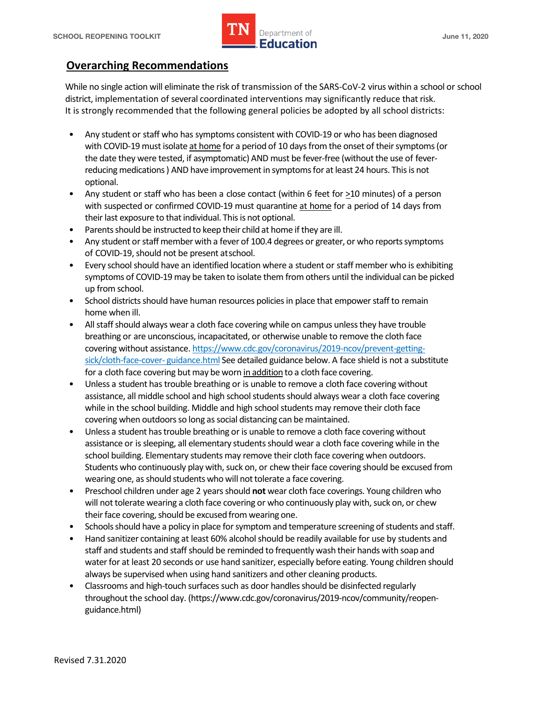

## **Overarching Recommendations**

 While no single action will eliminate the risk of transmission of the SARS-CoV-2 virus within a school or school district, implementation of several coordinated interventions may significantly reduce that risk. It is strongly recommended that the following general policies be adopted by all school districts:

- • Any student or staff who has symptoms consistent with COVID-19 or who has been diagnosed with COVID-19 must isolate at home for a period of 10 days from the onset of their symptoms (or the date they were tested, if asymptomatic) AND must be fever-free (without the use of fever- reducing medications ) AND have improvement in symptoms for at least 24 hours. This is not optional.
- Any student or staff who has been a close contact (within 6 feet for  $\geq$ 10 minutes) of a person with suspected or confirmed COVID-19 must quarantine at home for a period of 14 days from their last exposure to that individual. This is not optional.
- Parents should be instructed to keep their child at home if they are ill.
- • Any student or staff member with a fever of 100.4 degrees or greater, or who reports symptoms of COVID-19, should not be present atschool.
- • Every school should have an identified location where a student or staff member who is exhibiting symptoms of COVID-19 may be taken to isolate them from others until the individual can be picked up from school.
- home when ill. • School districts should have human resources policies in place that empower staff to remain
- • All staff should always wear a cloth face covering while on campus unless they have trouble sick/cloth-face-cover- guidance.html See detailed guidance below. A face shield is not a substitute for a cloth face covering but may be worn in addition to a cloth face covering. breathing or are unconscious, incapacitated, or otherwise unable to remove the cloth face covering without assistance.<https://www.cdc.gov/coronavirus/2019-ncov/prevent-getting>-
- • Unless a student has trouble breathing or is unable to remove a cloth face covering without assistance, all middle school and high school students should always wear a cloth face covering while in the school building. Middle and high school students may remove their cloth face covering when outdoors so long as social distancing can be maintained.
- • Unless a student has trouble breathing or is unable to remove a cloth face covering without school building. Elementary students may remove their cloth face covering when outdoors. Students who continuously play with, suck on, or chew their face covering should be excused from wearing one, as should students who will not tolerate a face covering. assistance or is sleeping, all elementary students should wear a cloth face covering while in the
- • Preschool children under age 2 years should **not** wear cloth face coverings. Young children who will not tolerate wearing a cloth face covering or who continuously play with, suck on, or chew their face covering, should be excused from wearing one.
- Schools should have a policy in place for symptom and temperature screening of students and staff.
- • Hand sanitizer containing at least 60% alcohol should be readily available for use by students and staff and students and staff should be reminded to frequently wash their hands with soap and water for at least 20 seconds or use hand sanitizer, especially before eating. Young children should always be supervised when using hand sanitizers and other cleaning products.
- Classrooms and high-touch surfaces such as door handles should be disinfected regularly throughout the school day. [\(https://www.cdc.gov/coronavirus/2019-ncov/community/reopen](https://www.cdc.gov/coronavirus/2019-ncov/community/reopen)guidance.html)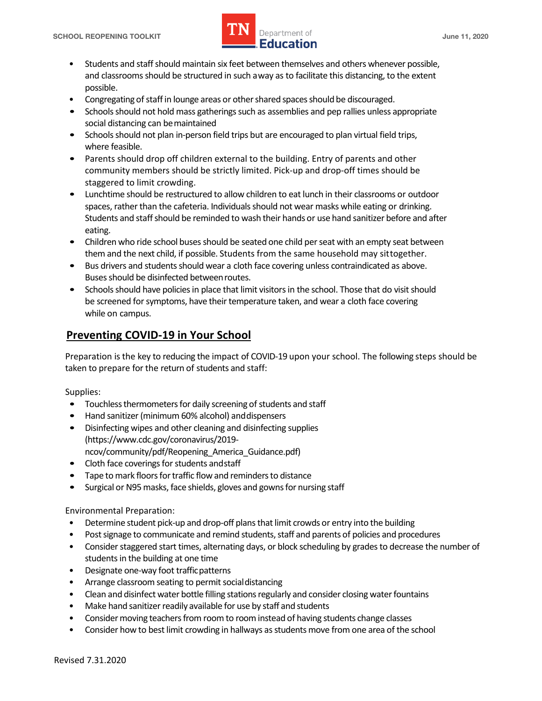

- and classrooms should be structured in such away as to facilitate this distancing, to the extent • Students and staff should maintain six feet between themselves and others whenever possible, possible.
- Congregating of staff in lounge areas or other shared spaces should be discouraged.
- social distancing can bemaintained • Schools should not hold mass gatherings such as assemblies and pep rallies unless appropriate
- Schools should not plan in-person field trips but are encouraged to plan virtual field trips, where feasible.
- • Parents should drop off children external to the building. Entry of parents and other community members should be strictly limited. Pick-up and drop-off times should be staggered to limit crowding.
- • Lunchtime should be restructured to allow children to eat lunch in their classrooms or outdoor spaces, rather than the cafeteria. Individuals should not wear masks while eating or drinking. Students and staff should be reminded to wash their hands or use hand sanitizer before and after eating.
- • Children who ride school buses should be seated one child per seat with an empty seat between them and the next child, if possible. Students from the same household may sittogether.
- Buses should be disinfected betweenroutes. • Bus drivers and students should wear a cloth face covering unless contraindicated as above.
- Schools should have policies in place that limit visitors in the school. Those that do visit should be screened for symptoms, have their temperature taken, and wear a cloth face covering while on campus.

# **Preventing COVID-19 in Your School**

 Preparation is the key to reducing the impact of COVID-19 upon your school. The following steps should be taken to prepare for the return of students and staff:

Supplies:

- Touchless thermometers for daily screening of students and staff
- Hand sanitizer (minimum 60% alcohol) anddispensers
- Disinfecting wipes and other cleaning and disinfecting supplies [\(https://www.cdc.gov/coronavirus/2019](https://www.cdc.gov/coronavirus/2019) ncov/community/pdf/Reopening\_America\_Guidance.pdf)
- Cloth face coverings for students andstaff
- Tape to mark floors for traffic flow and reminders to distance
- Surgical or N95 masks, face shields, gloves and gowns for nursing staff

Environmental Preparation:

- Determine student pick-up and drop-off plans that limit crowds or entry into the building
- Post signage to communicate and remind students, staff and parents of policies and procedures
- • Consider staggered start times, alternating days, or block scheduling by grades to decrease the number of students in the building at one time
- Designate one-way foot trafficpatterns
- Arrange classroom seating to permit socialdistancing
- Clean and disinfect water bottle filling stations regularly and consider closing water fountains
- Make hand sanitizer readily available for use by staff and students
- Consider moving teachers from room to room instead of having students change classes
- Consider how to best limit crowding in hallways as students move from one area of the school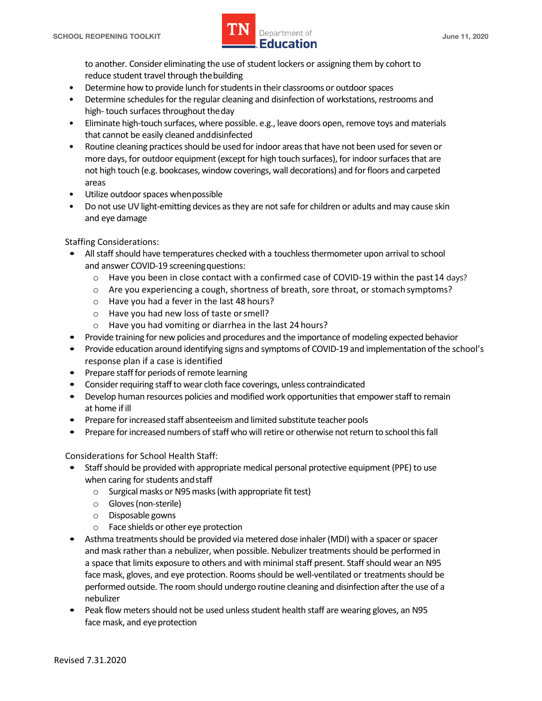

 reduce student travel through thebuilding to another. Consider eliminating the use of student lockers or assigning them by cohort to

- Determine how to provide lunch for students in their classrooms or outdoor spaces
- • Determine schedules for the regular cleaning and disinfection of workstations, restrooms and high- touch surfaces throughout theday
- • Eliminate high-touch surfaces, where possible. e.g., leave doors open, remove toys and materials that cannot be easily cleaned anddisinfected
- • Routine cleaning practices should be used for indoor areas that have not been used for seven or more days, for outdoor equipment (except for high touch surfaces), for indoor surfaces that are not high touch (e.g. bookcases, window coverings, wall decorations) and for floors and carpeted areas
- Utilize outdoor spaces whenpossible
- Do not use UV light-emitting devices as they are not safe for children or adults and may cause skin and eye damage

Staffing Considerations:

- • All staff should have temperatures checked with a touchless thermometer upon arrival to school and answer COVID-19 screeningquestions:
	- o Have you been in close contact with a confirmed case of COVID-19 within the past14 days?
	- o Are you experiencing a cough, shortness of breath, sore throat, or stomach symptoms?
	- o Have you had a fever in the last 48 hours?
	- o Have you had new loss of taste orsmell?
	- o Have you had vomiting or diarrhea in the last 24 hours?
- Provide training for new policies and procedures and the importance of modeling expected behavior
- • Provide education around identifying signs and symptoms of COVID-19 and implementation of the school's response plan if a case is identified
- Prepare staff for periods of remote learning
- Consider requiring staff to wear cloth face coverings, unless contraindicated
- • Develop human resources policies and modified work opportunities that empower staff to remain at home if ill
- Prepare for increased staff absenteeism and limited substitute teacher pools
- Prepare for increased numbers of staff who will retire or otherwise not return to school this fall

Considerations for School Health Staff:

- • Staff should be provided with appropriate medical personal protective equipment (PPE) to use when caring for students and staff
	- $\circ$  Surgical masks or N95 masks (with appropriate fit test)
	- o Gloves (non-sterile)
	- o Disposable gowns
	- o Face shields or other eye protection
- • Asthma treatments should be provided via metered dose inhaler (MDI) with a spacer or spacer and mask rather than a nebulizer, when possible. Nebulizer treatments should be performed in performed outside. The room should undergo routine cleaning and disinfection after the use of a a space that limits exposure to others and with minimal staff present. Staff should wear an N95 face mask, gloves, and eye protection. Rooms should be well-ventilated or treatments should be nebulizer
- • Peak flow meters should not be used unless student health staff are wearing gloves, an N95 face mask, and eye protection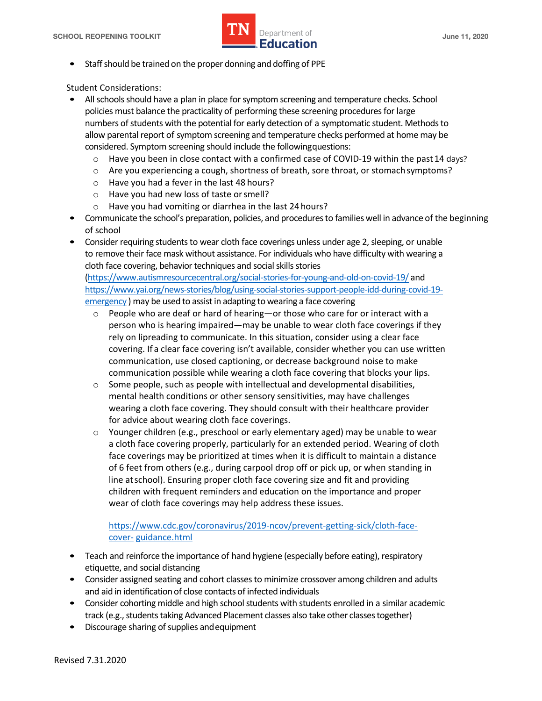

• Staff should be trained on the proper donning and doffing of PPE

Student Considerations:

- • All schools should have a plan in place for symptom screening and temperature checks. School allow parental report of symptom screening and temperature checks performed at home may be considered. Symptom screening should include the followingquestions: policies must balance the practicality of performing these screening procedures for large numbers of students with the potential for early detection of a symptomatic student. Methods to
	- o Have you been in close contact with a confirmed case of COVID-19 within the past14 days?
	- o Are you experiencing a cough, shortness of breath, sore throat, or stomach symptoms?
	- o Have you had a fever in the last 48 hours?
	- o Have you had new loss of taste orsmell?
	- o Have you had vomiting or diarrhea in the last 24 hours?
- • Communicate the school's preparation, policies, and procedures to families well in advance of the beginning of school
- to remove their face mask without assistance. For individuals who have difficulty with wearing a [\(https://www.autismresourcecentral.org/social-stories-for-young-and-old-on-covid-19/](https://www.autismresourcecentral.org/social-stories-for-young-and-old-on-covid-19) and emergency) may be used to assist in adapting to wearing a face covering • Consider requiring students to wear cloth face coverings unless under age 2, sleeping, or unable cloth face covering, behavior techniques and social skills stories [https://www.yai.org/news-stories/blog/using-social-stories-support-people-idd-during-covid-19-](https://www.yai.org/news-stories/blog/using-social-stories-support-people-idd-during-covid-19)
	- $\circ$  People who are deaf or hard of hearing—or those who care for or interact with a person who is hearing impaired—may be unable to wear cloth face coverings if they covering. If a clear face covering isn't available, consider whether you can use written communication, use closed captioning, or decrease background noise to make communication possible while wearing a cloth face covering that blocks your lips. rely on lipreading to communicate. In this situation, consider using a clear face
	- mental health conditions or other sensory sensitivities, may have challenges wearing a cloth face covering. They should consult with their healthcare provider  $\circ$  Some people, such as people with intellectual and developmental disabilities, for advice about wearing cloth face coverings.
	- o Younger children (e.g., preschool or early elementary aged) may be unable to wear a cloth face covering properly, particularly for an extended period. Wearing of cloth of 6 feet from others (e.g., during carpool drop off or pick up, or when standing in line atschool). Ensuring proper cloth face covering size and fit and providing children with frequent reminders and education on the importance and proper wear of cloth face coverings may help address these issues. face coverings may be prioritized at times when it is difficult to maintain a distance

#### <https://www.cdc.gov/coronavirus/2019-ncov/prevent-getting-sick/cloth-face>cover- guidance.html

- etiquette, and social distancing • Teach and reinforce the importance of hand hygiene (especially before eating), respiratory
- • Consider assigned seating and cohort classes to minimize crossover among children and adults and aid in identification of close contacts of infected individuals
- • Consider cohorting middle and high school students with students enrolled in a similar academic track (e.g., students taking Advanced Placement classes also take other classes together)
- Discourage sharing of supplies andequipment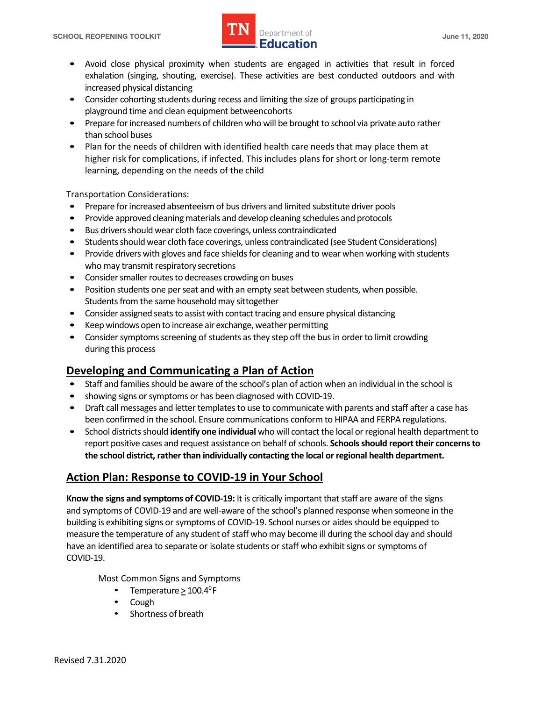

- • Avoid close physical proximity when students are engaged in activities that result in forced exhalation (singing, shouting, exercise). These activities are best conducted outdoors and with increased physical distancing
- playground time and clean equipment betweencohorts • Consider cohorting students during recess and limiting the size of groups participating in
- • Prepare for increased numbers of children who will be brought to school via private auto rather than school buses
- • Plan for the needs of children with identified health care needs that may place them at higher risk for complications, if infected. This includes plans for short or long-term remote learning, depending on the needs of the child

Transportation Considerations:

- Prepare for increased absenteeism of bus drivers and limited substitute driver pools
- Provide approved cleaning materials and develop cleaning schedules and protocols
- Bus drivers should wear cloth face coverings, unless contraindicated
- Students should wear cloth face coverings, unless contraindicated (see Student Considerations)
- • Provide drivers with gloves and face shields for cleaning and to wear when working with students who may transmit respiratory secretions
- Consider smaller routes to decreases crowding on buses
- Students from the same household may sittogether • Position students one per seat and with an empty seat between students, when possible.
- Consider assigned seats to assist with contact tracing and ensure physical distancing
- Keep windows open to increase air exchange, weather permitting
- during this process • Consider symptoms screening of students as they step off the bus in order to limit crowding

# **Developing and Communicating a Plan of Action**

- Staff and families should be aware of the school's plan of action when an individual in the school is
- showing signs or symptoms or has been diagnosed with COVID-19.
- • Draft call messages and letter templates to use to communicate with parents and staff after a case has been confirmed in the school. Ensure communications conform to HIPAA and FERPA regulations.
- • School districts should **identify one individual** who will contact the local or regional health department to report positive cases and request assistance on behalf of schools. **Schools should report their concerns to the school district, rather than individually contacting the local or regional health department.**

# **Action Plan: Response to COVID-19 in Your School**

 and symptoms of COVID-19 and are well-aware of the school's planned response when someone in the building is exhibiting signs or symptoms of COVID-19. School nurses or aides should be equipped to measure the temperature of any student of staff who may become ill during the school day and should have an identified area to separate or isolate students or staff who exhibit signs or symptoms of **Know the signs and symptoms of COVID-19:** It is critically important that staff are aware of the signs COVID-19.

Most Common Signs and Symptoms

- Temperature  $\geq 100.4^0$ F
- Cough
- Shortness of breath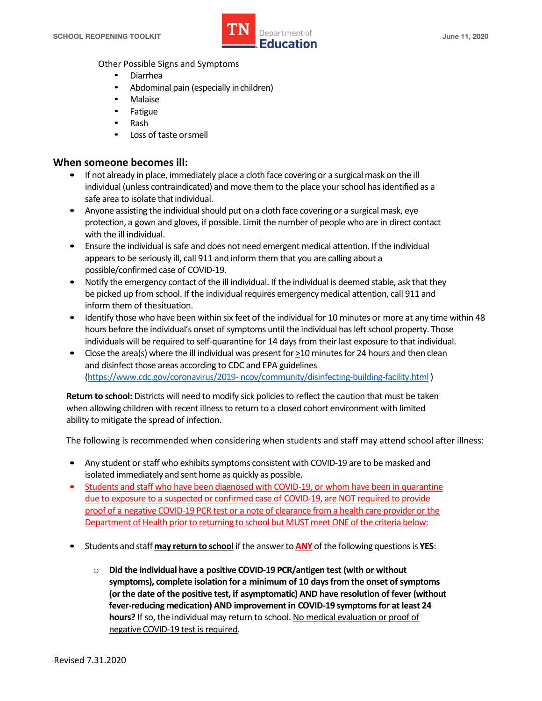

Other Possible Signs and Symptoms

- Diarrhea
- Abdominal pain (especially inchildren)
- Malaise
- **Fatigue**
- Rash
- Loss of taste or smell

#### **When someone becomes ill:**

- • If not already in place, immediately place a cloth face covering or a surgical mask on the ill individual (unless contraindicated) and move them to the place your school has identified as a safe area to isolate that individual.
- • Anyone assisting the individual should put on a cloth face covering or a surgical mask, eye with the ill individual. protection, a gown and gloves, if possible. Limit the number of people who are in direct contact
- appears to be seriously ill, call 911 and inform them that you are calling about a • Ensure the individual is safe and does not need emergent medical attention. If the individual possible/confirmed case of COVID-19.
- • Notify the emergency contact of the ill individual. If the individual is deemed stable, ask that they inform them of thesituation. be picked up from school. If the individual requires emergency medical attention, call 911 and
- hours before the individual's onset of symptoms until the individual has left school property. Those • Identify those who have been within six feet of the individual for 10 minutes or more at any time within 48 individuals will be required to self-quarantine for 14 days from their last exposure to that individual.
- Close the area(s) where the ill individual was present for  $\geq$ 10 minutes for 24 hours and then clean and disinfect those areas according to CDC and EPA guidelines (https://www.cdc.gov/coronavirus/2019- [ncov/community/disinfecting-building-facility.html](https://www.cdc.gov/coronavirus/2019-ncov/community/disinfecting-building-facility.html) )

 **Return to school:** Districts will need to modify sick policies to reflect the caution that must be taken when allowing children with recent illness to return to a closed cohort environment with limited ability to mitigate the spread of infection.

The following is recommended when considering when students and staff may attend school after illness:

- isolated immediately and sent home as quickly as possible. • Any student or staff who exhibits symptoms consistent with COVID-19 are to be masked and
- proof of a negative COVID-19 PCR test or a note of clearance from a health care provider or the Department of Health prior to returning to school but MUST meet ONE of the criteria below: • Students and staff who have been diagnosed with COVID-19, or whom have been in quarantine due to exposure to a suspected or confirmed case of COVID-19, are NOT required to provide
- • Students and staff **may return to school** if the answer to **ANY** of the following questions is **YES**:
	- **hours?** If so, the individual may return to school. No medical evaluation or proof of o **Did the individual have a positive COVID-19 PCR/antigen test (with or without symptoms), complete isolation for a minimum of 10 days from the onset of symptoms (or the date of the positive test, if asymptomatic) AND have resolution of fever (without fever-reducing medication) AND improvement in COVID-19 symptoms for at least 24**  negative COVID-19 test is required.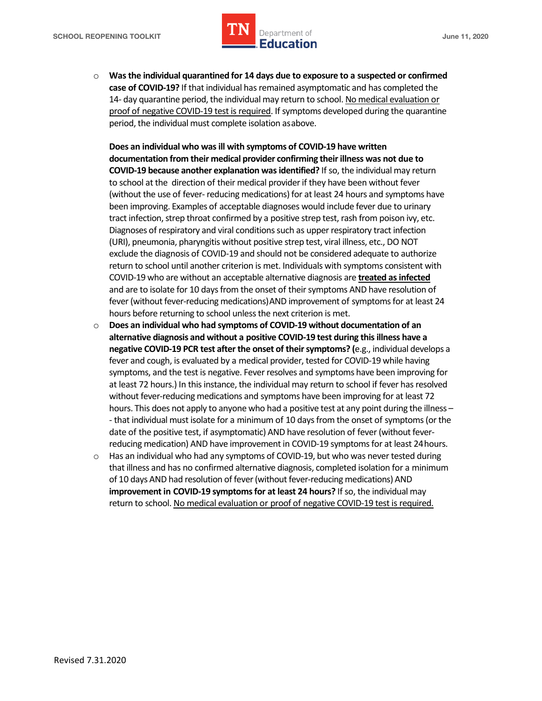

 o **Was the individual quarantined for 14 days due to exposure to a suspected or confirmed**  14- day quarantine period, the individual may return to school. No medical evaluation or period, the individual must complete isolation asabove. **case of COVID-19?** If that individual has remained asymptomatic and has completed the proof of negative COVID-19 test is required. If symptoms developed during the quarantine

 **documentation from their medical provider confirming their illness was not due to**  to school at the direction of their medical provider if they have been without fever (without the use of fever- reducing medications) for at least 24 hours and symptoms have been improving. Examples of acceptable diagnoses would include fever due to urinary tract infection, strep throat confirmed by a positive strep test, rash from poison ivy, etc. Diagnoses of respiratory and viral conditions such as upper respiratory tract infection (URI), pneumonia, pharyngitis without positive strep test, viral illness, etc., DO NOT return to school until another criterion is met. Individuals with symptoms consistent with COVID-19 who are without an acceptable alternative diagnosis are **treated as infected**  and are to isolate for 10 days from the onset of their symptoms AND have resolution of hours before returning to school unless the next criterion is met. **Does an individual who was ill with symptoms of COVID-19 have written COVID-19 because another explanation was identified?** If so, the individual may return exclude the diagnosis of COVID-19 and should not be considered adequate to authorize fever (without fever-reducing medications)AND improvement of symptoms for at least 24

- hours. This does not apply to anyone who had a positive test at any point during the illness - that individual must isolate for a minimum of 10 days from the onset of symptoms (or the reducing medication) AND have improvement in COVID-19 symptoms for at least 24hours. o **Does an individual who had symptoms of COVID-19 without documentation of an alternative diagnosis and without a positive COVID-19 test during this illness have a negative COVID-19 PCR test after the onset of their symptoms? (**e.g., individual develops a fever and cough, is evaluated by a medical provider, tested for COVID-19 while having symptoms, and the test is negative. Fever resolves and symptoms have been improving for at least 72 hours.) In this instance, the individual may return to school if fever has resolved without fever-reducing medications and symptoms have been improving for at least 72 date of the positive test, if asymptomatic) AND have resolution of fever (without fever-
- $\circ$  Has an individual who had any symptoms of COVID-19, but who was never tested during that illness and has no confirmed alternative diagnosis, completed isolation for a minimum of 10 days AND had resolution of fever (without fever-reducing medications) AND  **improvement in COVID-19 symptoms for at least 24 hours?** If so, the individual may return to school. No medical evaluation or proof of negative COVID-19 test is required.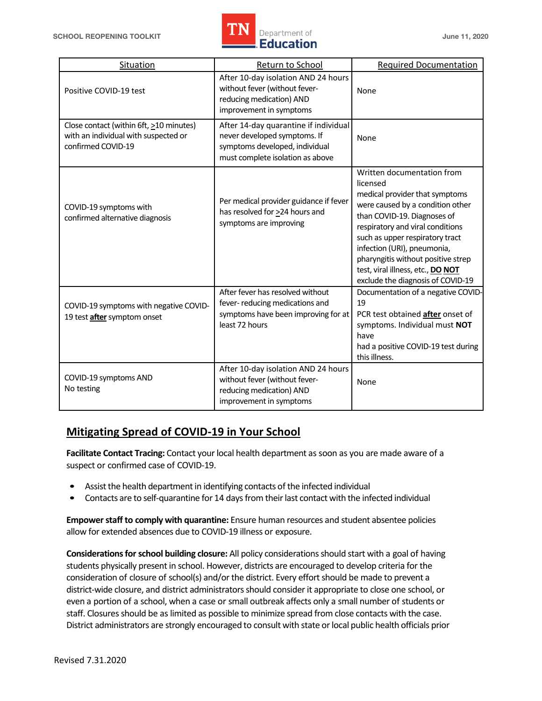

| Situation                                                                                             | Return to School                                                                                                                            | <b>Required Documentation</b>                                                                                                                                                                                                                                                                                                                                     |
|-------------------------------------------------------------------------------------------------------|---------------------------------------------------------------------------------------------------------------------------------------------|-------------------------------------------------------------------------------------------------------------------------------------------------------------------------------------------------------------------------------------------------------------------------------------------------------------------------------------------------------------------|
| Positive COVID-19 test                                                                                | After 10-day isolation AND 24 hours<br>without fever (without fever-<br>reducing medication) AND<br>improvement in symptoms                 | None                                                                                                                                                                                                                                                                                                                                                              |
| Close contact (within 6ft, >10 minutes)<br>with an individual with suspected or<br>confirmed COVID-19 | After 14-day quarantine if individual<br>never developed symptoms. If<br>symptoms developed, individual<br>must complete isolation as above | None                                                                                                                                                                                                                                                                                                                                                              |
| COVID-19 symptoms with<br>confirmed alternative diagnosis                                             | Per medical provider guidance if fever<br>has resolved for >24 hours and<br>symptoms are improving                                          | Written documentation from<br>licensed<br>medical provider that symptoms<br>were caused by a condition other<br>than COVID-19. Diagnoses of<br>respiratory and viral conditions<br>such as upper respiratory tract<br>infection (URI), pneumonia,<br>pharyngitis without positive strep<br>test, viral illness, etc., DO NOT<br>exclude the diagnosis of COVID-19 |
| COVID-19 symptoms with negative COVID-<br>19 test after symptom onset                                 | After fever has resolved without<br>fever-reducing medications and<br>symptoms have been improving for at<br>least 72 hours                 | Documentation of a negative COVID-<br>19<br>PCR test obtained after onset of<br>symptoms. Individual must NOT<br>have<br>had a positive COVID-19 test during<br>this illness.                                                                                                                                                                                     |
| COVID-19 symptoms AND<br>No testing                                                                   | After 10-day isolation AND 24 hours<br>without fever (without fever-<br>reducing medication) AND<br>improvement in symptoms                 | None                                                                                                                                                                                                                                                                                                                                                              |

# **Mitigating Spread of COVID-19 in Your School**

 **Facilitate Contact Tracing:** Contact your local health department as soon as you are made aware of a suspect or confirmed case of COVID-19.

- Assist the health department in identifying contacts of the infected individual
- Contacts are to self-quarantine for 14 days from their last contact with the infected individual

 **Empower staff to comply with quarantine:** Ensure human resources and student absentee policies allow for extended absences due to COVID-19 illness or exposure.

 students physically present in school. However, districts are encouraged to develop criteria for the consideration of closure of school(s) and/or the district. Every effort should be made to prevent a even a portion of a school, when a case or small outbreak affects only a small number of students or staff. Closures should be as limited as possible to minimize spread from close contacts with the case. District administrators are strongly encouraged to consult with state or local public health officials prior **Considerations for school building closure:** All policy considerations should start with a goal of having district-wide closure, and district administrators should consider it appropriate to close one school, or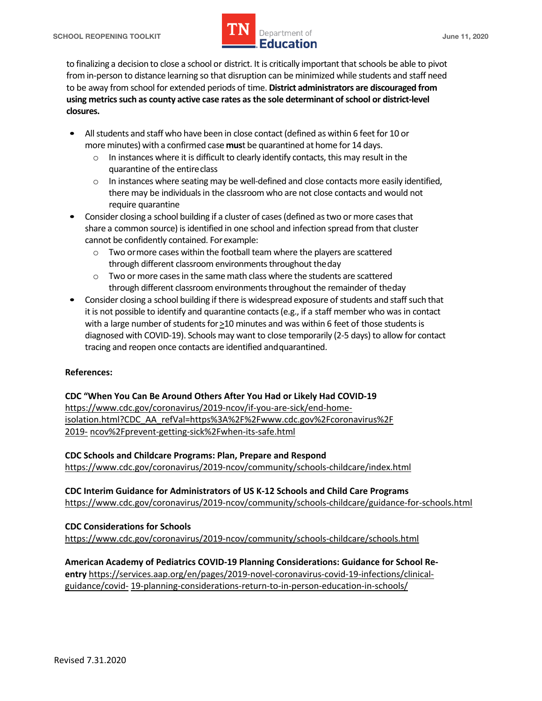

 to finalizing a decision to close a school or district. It is critically important that schools be able to pivot to be away from school for extended periods of time. **District administrators are discouraged from using metrics such as county active case rates as the sole determinant of school or district-level**  from in-person to distance learning so that disruption can be minimized while students and staff need **closures.** 

- • All students and staff who have been in close contact (defined as within 6 feet for 10 or more minutes) with a confirmed case **mus**t be quarantined at home for 14 days.
	- $\circ$  In instances where it is difficult to clearly identify contacts, this may result in the quarantine of the entireclass
	- there may be individuals in the classroom who are not close contacts and would not  $\circ$  In instances where seating may be well-defined and close contacts more easily identified, require quarantine
- • Consider closing a school building if a cluster of cases (defined as two or more cases that share a common source) is identified in one school and infection spread from that cluster cannot be confidently contained. Forexample:
	- $\circ$  Two ormore cases within the football team where the players are scattered through different classroom environments throughout theday
	- $\circ$  Two or more cases in the same math class where the students are scattered through different classroom environments throughout the remainder of theday
- • Consider closing a school building if there is widespread exposure of students and staff such that it is not possible to identify and quarantine contacts (e.g., if a staff member who was in contact tracing and reopen once contacts are identified andquarantined. with a large number of students for  $\geq$  10 minutes and was within 6 feet of those students is diagnosed with COVID-19). Schools may want to close temporarily (2-5 days) to allow for contact

#### **References:**

 **CDC "When You Can Be Around Others After You Had or Likely Had COVID-19**  <https://www.cdc.gov/coronavirus/2019-ncov/if-you-are-sick/end-home>isolation.html?CDC\_AA\_refVal=https%3A%2F%2Fwww.cdc.gov%2Fcoronavirus%2F 2019- ncov%2Fprevent-getting-sick%2Fwhen-its-safe.html

 **CDC Schools and Childcare Programs: Plan, Prepare and Respond** 

<https://www.cdc.gov/coronavirus/2019-ncov/community/schools-childcare/index.html>

 **CDC Interim Guidance for Administrators of US K-12 Schools and Child Care Programs**  <https://www.cdc.gov/coronavirus/2019-ncov/community/schools-childcare/guidance-for-schools.html>

 **CDC Considerations for Schools**  <https://www.cdc.gov/coronavirus/2019-ncov/community/schools-childcare/schools.html>

 **American Academy of Pediatrics COVID-19 Planning Considerations: Guidance for School Reentry** <https://services.aap.org/en/pages/2019-novel-coronavirus-covid-19-infections/clinical>guidance/covid- 19-planning-considerations-return-to-in-person-education-in-schools/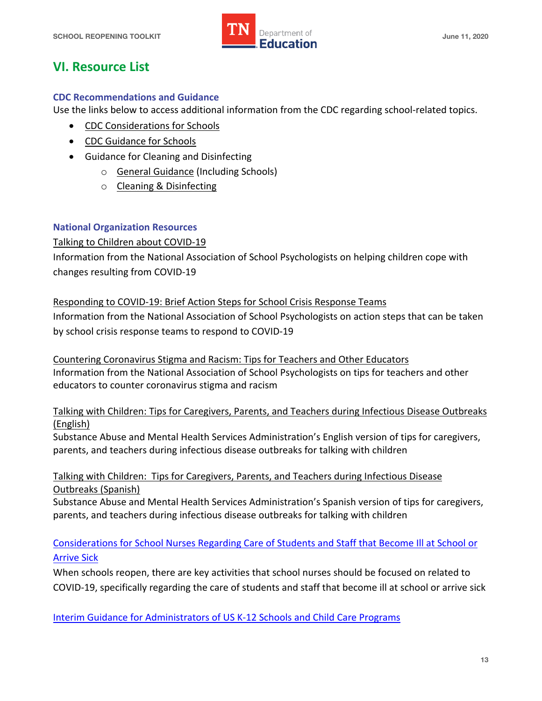

# **VI. Resource List**

#### **CDC Recommendations and Guidance**

Use the links below to access additional information from the CDC regarding school-related topics.

- CDC Considerations for Schools
- CDC Guidance for Schools
- • Guidance for Cleaning and Disinfecting
	- o General Guidance (Including Schools)
	- o Cleaning & Disinfecting

## **National Organization Resources**

#### Talking to Children about COVID-19

 Information from the National Association of School Psychologists on helping children cope with changes resulting from COVID-19

## Responding to COVID-19: Brief Action Steps for School Crisis Response Teams

 Information from the National Association of School Psychologists on action steps that can be taken by school crisis response teams to respond to COVID-19

 Countering Coronavirus Stigma and Racism: Tips for Teachers and Other Educators Information from the National Association of School Psychologists on tips for teachers and other educators to counter coronavirus stigma and racism

 Talking with Children: Tips for Caregivers, Parents, and Teachers during Infectious Disease Outbreaks (English)

 Substance Abuse and Mental Health Services Administration's English version of tips for caregivers, parents, and teachers during infectious disease outbreaks for talking with children

## Talking with Children: Tips for Caregivers, Parents, and Teachers during Infectious Disease Outbreaks (Spanish)

 Substance Abuse and Mental Health Services Administration's Spanish version of tips for caregivers, parents, and teachers during infectious disease outbreaks for talking with children

# Considerations for School Nurses Regarding Care of Students and Staff that Become Ill at School or Arrive Sick

 When schools reopen, there are key activities that school nurses should be focused on related to COVID-19, specifically regarding the care of students and staff that become ill at school or arrive sick

Interim Guidance for Administrators of US K-12 Schools and Child Care Programs